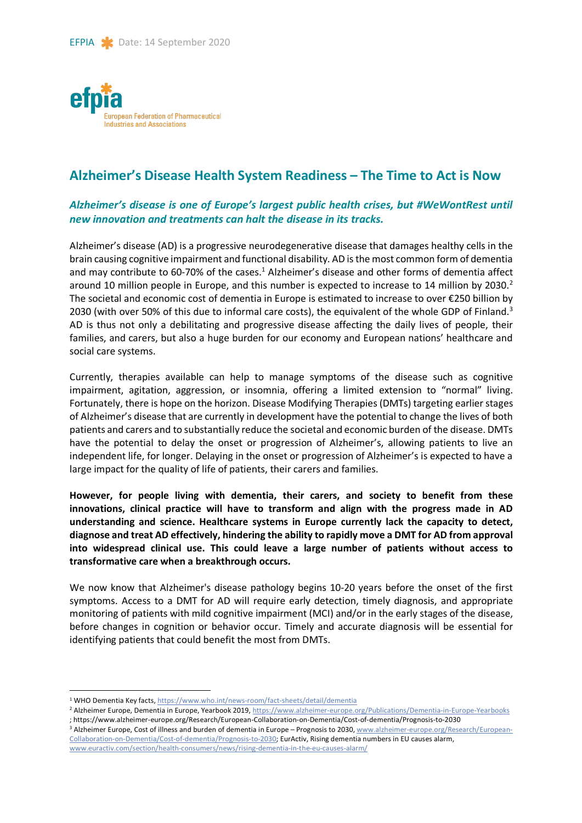

# **Alzheimer's Disease Health System Readiness – The Time to Act is Now**

# *Alzheimer's disease is one of Europe's largest public health crises, but #WeWontRest until new innovation and treatments can halt the disease in its tracks.*

Alzheimer's disease (AD) is a progressive neurodegenerative disease that damages healthy cells in the brain causing cognitive impairment and functional disability. AD is the most common form of dementia and may contribute to 60-70% of the cases. $<sup>1</sup>$  Alzheimer's disease and other forms of dementia affect</sup> around 10 million people in Europe, and this number is expected to increase to 14 million by 2030.<sup>2</sup> The societal and economic cost of dementia in Europe is estimated to increase to over €250 billion by 2030 (with over 50% of this due to informal care costs), the equivalent of the whole GDP of Finland.<sup>3</sup> AD is thus not only a debilitating and progressive disease affecting the daily lives of people, their families, and carers, but also a huge burden for our economy and European nations' healthcare and social care systems.

Currently, therapies available can help to manage symptoms of the disease such as cognitive impairment, agitation, aggression, or insomnia, offering a limited extension to "normal" living. Fortunately, there is hope on the horizon. Disease Modifying Therapies (DMTs) targeting earlier stages of Alzheimer's disease that are currently in development have the potential to change the lives of both patients and carers and to substantially reduce the societal and economic burden of the disease. DMTs have the potential to delay the onset or progression of Alzheimer's, allowing patients to live an independent life, for longer. Delaying in the onset or progression of Alzheimer's is expected to have a large impact for the quality of life of patients, their carers and families.

**However, for people living with dementia, their carers, and society to benefit from these innovations, clinical practice will have to transform and align with the progress made in AD understanding and science. Healthcare systems in Europe currently lack the capacity to detect, diagnose and treat AD effectively, hindering the ability to rapidly move a DMT for AD from approval into widespread clinical use. This could leave a large number of patients without access to transformative care when a breakthrough occurs.** 

We now know that Alzheimer's disease pathology begins 10-20 years before the onset of the first symptoms. Access to a DMT for AD will require early detection, timely diagnosis, and appropriate monitoring of patients with mild cognitive impairment (MCI) and/or in the early stages of the disease, before changes in cognition or behavior occur. Timely and accurate diagnosis will be essential for identifying patients that could benefit the most from DMTs.

 <sup>1</sup> WHO Dementia Key facts, https://www.who.int/news-room/fact-sheets/detail/dementia

<sup>&</sup>lt;sup>2</sup> Alzheimer Europe, Dementia in Europe, Yearbook 2019, https://www.alzheimer-europe.org/Publications/Dementia-in-Europe-Yearbooks ; https://www.alzheimer-europe.org/Research/European-Collaboration-on-Dementia/Cost-of-dementia/Prognosis-to-2030

<sup>&</sup>lt;sup>3</sup> Alzheimer Europe, Cost of illness and burden of dementia in Europe - Prognosis to 2030, www.alzheimer-europe.org/Research/European-Collaboration-on-Dementia/Cost-of-dementia/Prognosis-to-2030; EurActiv, Rising dementia numbers in EU causes alarm, www.euractiv.com/section/health-consumers/news/rising-dementia-in-the-eu-causes-alarm/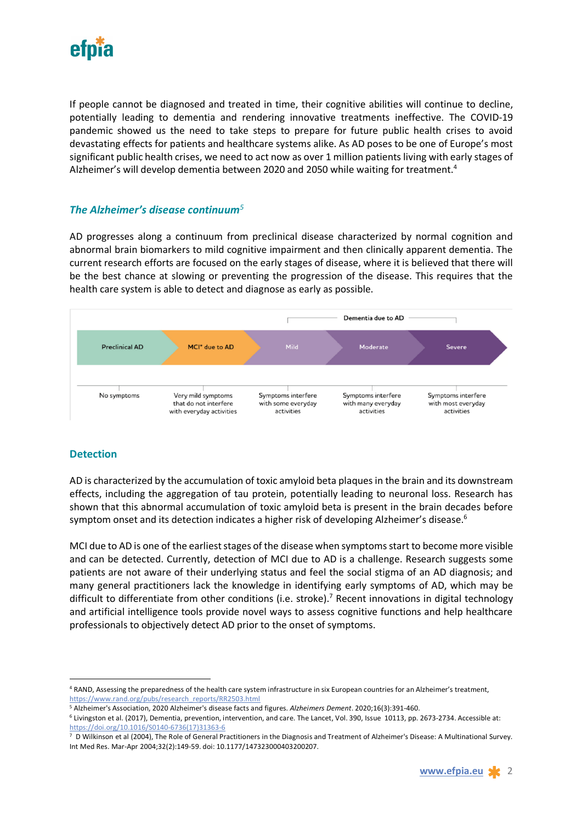

If people cannot be diagnosed and treated in time, their cognitive abilities will continue to decline, potentially leading to dementia and rendering innovative treatments ineffective. The COVID-19 pandemic showed us the need to take steps to prepare for future public health crises to avoid devastating effects for patients and healthcare systems alike. As AD poses to be one of Europe's most significant public health crises, we need to act now as over 1 million patients living with early stages of Alzheimer's will develop dementia between 2020 and 2050 while waiting for treatment.4

## *The Alzheimer's disease continuum<sup>5</sup>*

AD progresses along a continuum from preclinical disease characterized by normal cognition and abnormal brain biomarkers to mild cognitive impairment and then clinically apparent dementia. The current research efforts are focused on the early stages of disease, where it is believed that there will be the best chance at slowing or preventing the progression of the disease. This requires that the health care system is able to detect and diagnose as early as possible.



## **Detection**

AD is characterized by the accumulation of toxic amyloid beta plaques in the brain and its downstream effects, including the aggregation of tau protein, potentially leading to neuronal loss. Research has shown that this abnormal accumulation of toxic amyloid beta is present in the brain decades before symptom onset and its detection indicates a higher risk of developing Alzheimer's disease.<sup>6</sup>

MCI due to AD is one of the earliest stages of the disease when symptoms start to become more visible and can be detected. Currently, detection of MCI due to AD is a challenge. Research suggests some patients are not aware of their underlying status and feel the social stigma of an AD diagnosis; and many general practitioners lack the knowledge in identifying early symptoms of AD, which may be difficult to differentiate from other conditions (i.e. stroke).<sup>7</sup> Recent innovations in digital technology and artificial intelligence tools provide novel ways to assess cognitive functions and help healthcare professionals to objectively detect AD prior to the onset of symptoms.

 <sup>4</sup> RAND, Assessing the preparedness of the health care system infrastructure in six European countries for an Alzheimer's treatment, https://www.rand.org/pubs/research\_reports/RR2503.html

<sup>5</sup> Alzheimer's Association, 2020 Alzheimer's disease facts and figures. *Alzheimers Dement*. 2020;16(3):391-460.

<sup>6</sup> Livingston et al. (2017), Dementia, prevention, intervention, and care. The Lancet, Vol. 390, Issue 10113, pp. 2673-2734. Accessible at: https://doi.org/10.1016/S0140-6736(17)31363-6

<sup>7</sup> D Wilkinson et al (2004), The Role of General Practitioners in the Diagnosis and Treatment of Alzheimer's Disease: A Multinational Survey. Int Med Res. Mar-Apr 2004;32(2):149-59. doi: 10.1177/147323000403200207.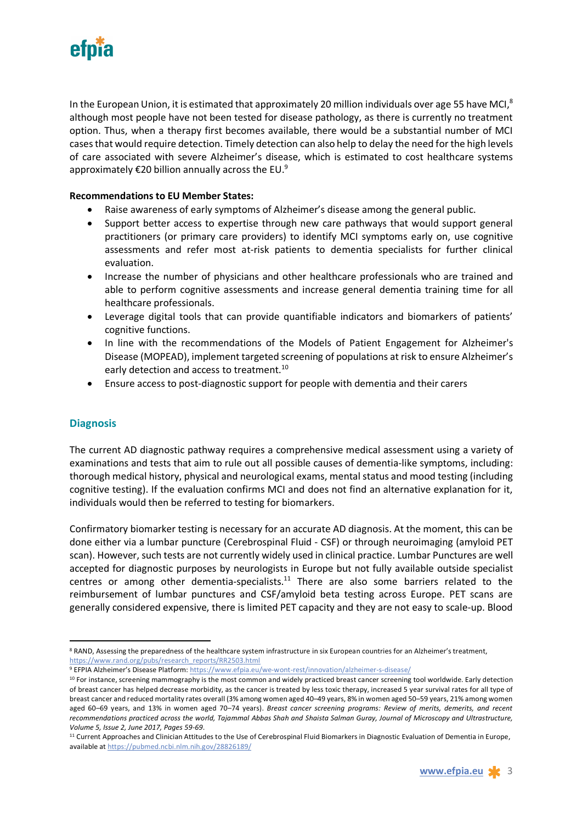

In the European Union, it is estimated that approximately 20 million individuals over age 55 have MCI, $8$ although most people have not been tested for disease pathology, as there is currently no treatment option. Thus, when a therapy first becomes available, there would be a substantial number of MCI cases that would require detection. Timely detection can also help to delay the need for the high levels of care associated with severe Alzheimer's disease, which is estimated to cost healthcare systems approximately  $E$ 20 billion annually across the EU.<sup>9</sup>

### **Recommendations to EU Member States:**

- Raise awareness of early symptoms of Alzheimer's disease among the general public.
- Support better access to expertise through new care pathways that would support general practitioners (or primary care providers) to identify MCI symptoms early on, use cognitive assessments and refer most at-risk patients to dementia specialists for further clinical evaluation.
- Increase the number of physicians and other healthcare professionals who are trained and able to perform cognitive assessments and increase general dementia training time for all healthcare professionals.
- Leverage digital tools that can provide quantifiable indicators and biomarkers of patients' cognitive functions.
- In line with the recommendations of the Models of Patient Engagement for Alzheimer's Disease (MOPEAD), implement targeted screening of populations at risk to ensure Alzheimer's early detection and access to treatment.<sup>10</sup>
- Ensure access to post-diagnostic support for people with dementia and their carers

## **Diagnosis**

The current AD diagnostic pathway requires a comprehensive medical assessment using a variety of examinations and tests that aim to rule out all possible causes of dementia-like symptoms, including: thorough medical history, physical and neurological exams, mental status and mood testing (including cognitive testing). If the evaluation confirms MCI and does not find an alternative explanation for it, individuals would then be referred to testing for biomarkers.

Confirmatory biomarker testing is necessary for an accurate AD diagnosis. At the moment, this can be done either via a lumbar puncture (Cerebrospinal Fluid - CSF) or through neuroimaging (amyloid PET scan). However, such tests are not currently widely used in clinical practice. Lumbar Punctures are well accepted for diagnostic purposes by neurologists in Europe but not fully available outside specialist centres or among other dementia-specialists. $11$  There are also some barriers related to the reimbursement of lumbar punctures and CSF/amyloid beta testing across Europe. PET scans are generally considered expensive, there is limited PET capacity and they are not easy to scale-up. Blood

<sup>9</sup> EFPIA Alzheimer's Disease Platform: https://www.efpia.eu/we-wont-rest/innovation/alzheimer-s-disease/

<sup>8</sup> RAND, Assessing the preparedness of the healthcare system infrastructure in six European countries for an Alzheimer's treatment, https://www.rand.org/pubs/research\_reports/RR2503.html

<sup>&</sup>lt;sup>10</sup> For instance, screening mammography is the most common and widely practiced breast cancer screening tool worldwide. Early detection of breast cancer has helped decrease morbidity, as the cancer is treated by less toxic therapy, increased 5 year survival rates for all type of breast cancer and reduced mortality rates overall (3% among women aged 40–49 years, 8% in women aged 50–59 years, 21% among women aged 60–69 years, and 13% in women aged 70–74 years). *Breast cancer screening programs: Review of merits, demerits, and recent recommendations practiced across the world, Tajammal Abbas Shah and Shaista Salman Guray, Journal of Microscopy and Ultrastructure, Volume 5, Issue 2, June 2017, Pages 59-69*.

<sup>&</sup>lt;sup>11</sup> Current Approaches and Clinician Attitudes to the Use of Cerebrospinal Fluid Biomarkers in Diagnostic Evaluation of Dementia in Europe, available at https://pubmed.ncbi.nlm.nih.gov/28826189/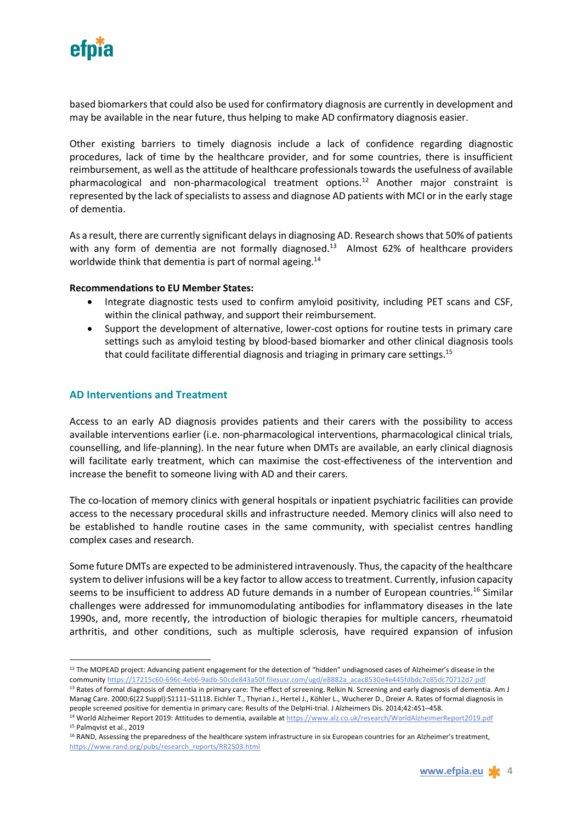

based biomarkers that could also be used for confirmatory diagnosis are currently in development and may be available in the near future, thus helping to make AD confirmatory diagnosis easier.

Other existing barriers to timely diagnosis include a lack of confidence regarding diagnostic procedures, lack of time by the healthcare provider, and for some countries, there is insufficient reimbursement, as well as the attitude of healthcare professionals towards the usefulness of available pharmacological and non-pharmacological treatment options.<sup>12</sup> Another major constraint is represented by the lack of specialists to assess and diagnose AD patients with MCI or in the early stage of dementia.

As a result, there are currently significant delays in diagnosing AD. Research shows that 50% of patients with any form of dementia are not formally diagnosed.<sup>13</sup> Almost 62% of healthcare providers worldwide think that dementia is part of normal ageing.<sup>14</sup>

#### **Recommendations to EU Member States:**

- Integrate diagnostic tests used to confirm amyloid positivity, including PET scans and CSF, within the clinical pathway, and support their reimbursement.
- Support the development of alternative, lower-cost options for routine tests in primary care settings such as amyloid testing by blood-based biomarker and other clinical diagnosis tools that could facilitate differential diagnosis and triaging in primary care settings.<sup>15</sup>

## **AD Interventions and Treatment**

Access to an early AD diagnosis provides patients and their carers with the possibility to access available interventions earlier (i.e. non-pharmacological interventions, pharmacological clinical trials, counselling, and life-planning). In the near future when DMTs are available, an early clinical diagnosis will facilitate early treatment, which can maximise the cost-effectiveness of the intervention and increase the benefit to someone living with AD and their carers.

The co-location of memory clinics with general hospitals or inpatient psychiatric facilities can provide access to the necessary procedural skills and infrastructure needed. Memory clinics will also need to be established to handle routine cases in the same community, with specialist centres handling complex cases and research.

Some future DMTs are expected to be administered intravenously. Thus, the capacity of the healthcare system to deliver infusions will be a key factor to allow access to treatment. Currently, infusion capacity seems to be insufficient to address AD future demands in a number of European countries.<sup>16</sup> Similar challenges were addressed for immunomodulating antibodies for inflammatory diseases in the late 1990s, and, more recently, the introduction of biologic therapies for multiple cancers, rheumatoid arthritis, and other conditions, such as multiple sclerosis, have required expansion of infusion

<sup>&</sup>lt;sup>12</sup> The MOPEAD project: Advancing patient engagement for the detection of "hidden" undiagnosed cases of Alzheimer's disease in the community https://17215c60-696c-4eb6-9adb-50cde843a50f.filesusr.com/ugd/e8882a\_acac8530e4e445fdbdc7e85dc70712d7.pdf 13 Rates of formal diagnosis of dementia in primary care: The effect of screening. Relkin N. Screening and early diagnosis of dementia. Am J

Manag Care. 2000;6(22 Suppl):S1111–S1118. Eichler T., Thyrian J., Hertel J., Köhler L., Wucherer D., Dreier A. Rates of formal diagnosis in

people screened positive for dementia in primary care: Results of the DelpHi-trial. J Alzheimers Dis. 2014;42:451-458.<br><sup>14</sup> World Alzheimer Report 2019: Attitudes to dementia, available at https://www.alz.co.uk/research/Wo <sup>15</sup> Palmqvist et al., 2019

<sup>16</sup> RAND, Assessing the preparedness of the healthcare system infrastructure in six European countries for an Alzheimer's treatment, https://www.rand.org/pubs/research\_reports/RR2503.html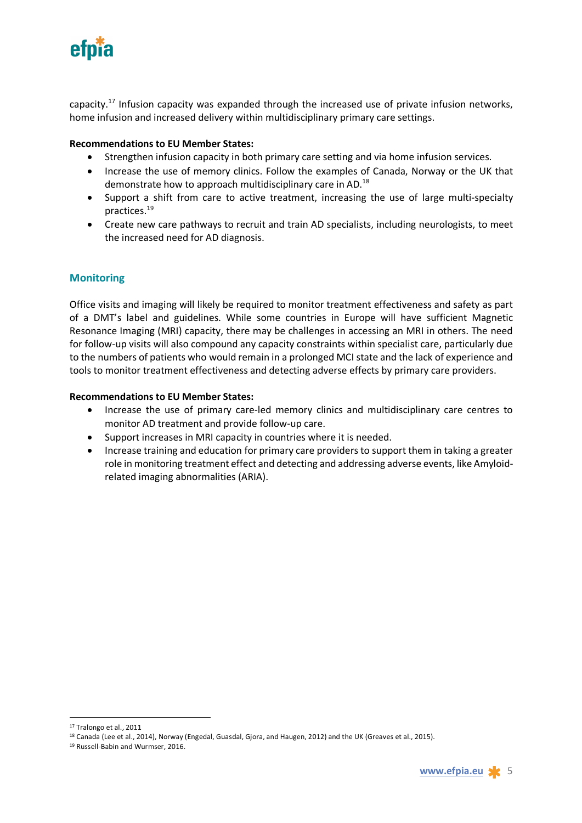

capacity.<sup>17</sup> Infusion capacity was expanded through the increased use of private infusion networks, home infusion and increased delivery within multidisciplinary primary care settings.

### **Recommendations to EU Member States:**

- Strengthen infusion capacity in both primary care setting and via home infusion services.
- Increase the use of memory clinics. Follow the examples of Canada, Norway or the UK that demonstrate how to approach multidisciplinary care in AD.18
- Support a shift from care to active treatment, increasing the use of large multi-specialty practices.19
- Create new care pathways to recruit and train AD specialists, including neurologists, to meet the increased need for AD diagnosis.

## **Monitoring**

Office visits and imaging will likely be required to monitor treatment effectiveness and safety as part of a DMT's label and guidelines. While some countries in Europe will have sufficient Magnetic Resonance Imaging (MRI) capacity, there may be challenges in accessing an MRI in others. The need for follow-up visits will also compound any capacity constraints within specialist care, particularly due to the numbers of patients who would remain in a prolonged MCI state and the lack of experience and tools to monitor treatment effectiveness and detecting adverse effects by primary care providers.

#### **Recommendations to EU Member States:**

- Increase the use of primary care-led memory clinics and multidisciplinary care centres to monitor AD treatment and provide follow-up care.
- Support increases in MRI capacity in countries where it is needed.
- Increase training and education for primary care providers to support them in taking a greater role in monitoring treatment effect and detecting and addressing adverse events, like Amyloidrelated imaging abnormalities (ARIA).

<sup>17</sup> Tralongo et al., 2011

<sup>&</sup>lt;sup>18</sup> Canada (Lee et al., 2014), Norway (Engedal, Guasdal, Gjora, and Haugen, 2012) and the UK (Greaves et al., 2015).

<sup>19</sup> Russell-Babin and Wurmser, 2016.